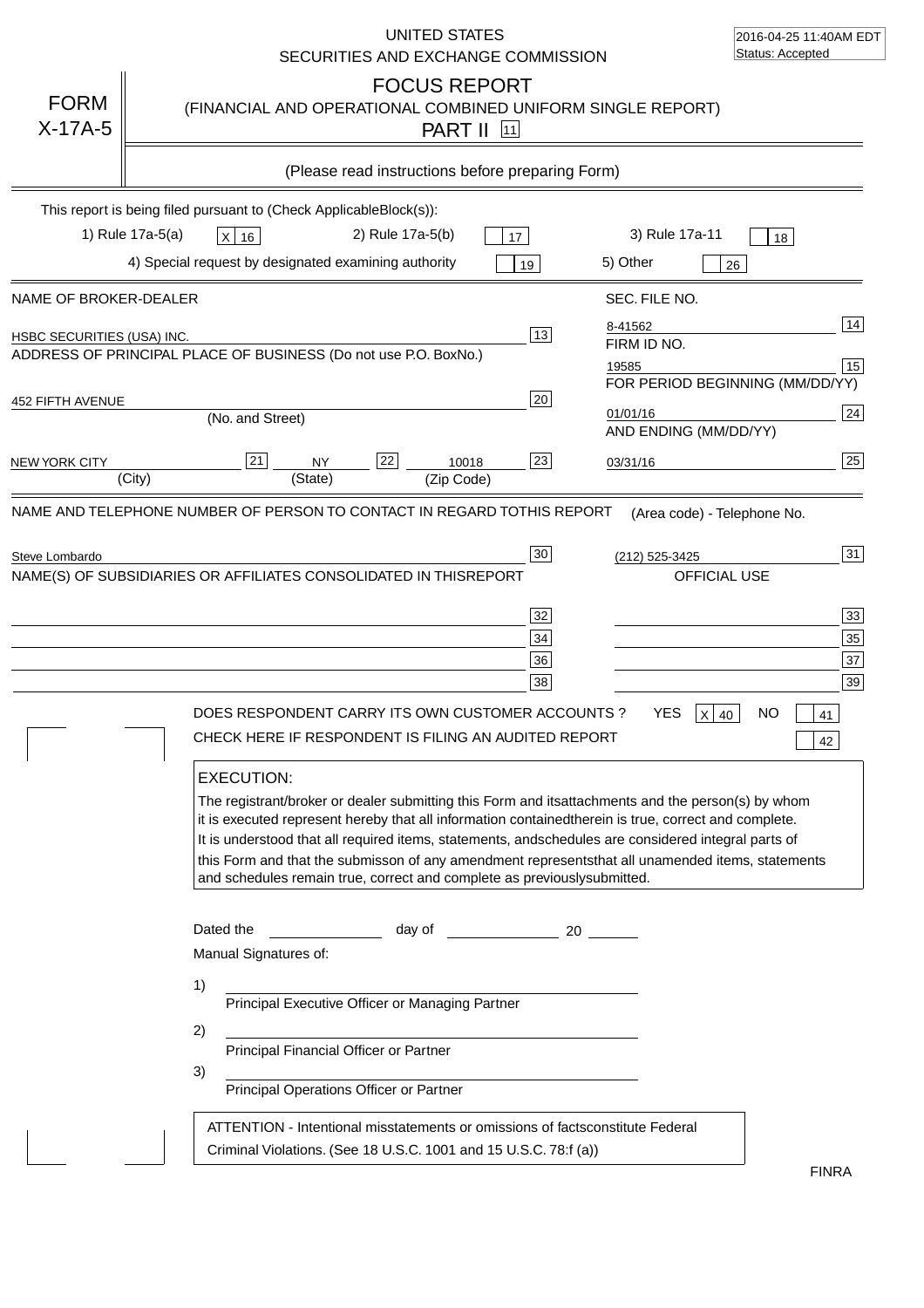|                            | UNITED STATES<br>SECURITIES AND EXCHANGE COMMISSION                                                                                                                                                                                                                                                                                                                                                                                                                                                                                                                                                                                                                      | 2016-04-25 11:40AM EDT<br>Status: Accepted                                                                                                                                                                    |
|----------------------------|--------------------------------------------------------------------------------------------------------------------------------------------------------------------------------------------------------------------------------------------------------------------------------------------------------------------------------------------------------------------------------------------------------------------------------------------------------------------------------------------------------------------------------------------------------------------------------------------------------------------------------------------------------------------------|---------------------------------------------------------------------------------------------------------------------------------------------------------------------------------------------------------------|
| <b>FORM</b><br>$X-17A-5$   | <b>FOCUS REPORT</b><br>(FINANCIAL AND OPERATIONAL COMBINED UNIFORM SINGLE REPORT)<br><b>PART II</b> 11                                                                                                                                                                                                                                                                                                                                                                                                                                                                                                                                                                   |                                                                                                                                                                                                               |
|                            | (Please read instructions before preparing Form)                                                                                                                                                                                                                                                                                                                                                                                                                                                                                                                                                                                                                         |                                                                                                                                                                                                               |
|                            | This report is being filed pursuant to (Check Applicable<br>$Block(s)$ :<br>1) Rule 17a-5(a)<br>3) Rule 17a-11<br>2) Rule 17a-5(b)<br>X 16<br>17<br>4) Special request by designated examining authority<br>5) Other<br>19                                                                                                                                                                                                                                                                                                                                                                                                                                               | 18<br>26                                                                                                                                                                                                      |
| NAME OF BROKER-DEALER      | SEC. FILE NO.                                                                                                                                                                                                                                                                                                                                                                                                                                                                                                                                                                                                                                                            |                                                                                                                                                                                                               |
| HSBC SECURITIES (USA) INC. | 8-41562<br>$\overline{13}$<br>FIRM ID NO.<br>ADDRESS OF PRINCIPAL PLACE OF BUSINESS (Do not use P.O. Box<br>No.)<br>19585                                                                                                                                                                                                                                                                                                                                                                                                                                                                                                                                                | 14<br>15<br>FOR PERIOD BEGINNING (MM/DD/YY)                                                                                                                                                                   |
| 452 FIFTH AVENUE           | 20<br>01/01/16<br>(No. and Street)<br>AND ENDING (MM/DD/YY)                                                                                                                                                                                                                                                                                                                                                                                                                                                                                                                                                                                                              | 24                                                                                                                                                                                                            |
| <b>NEW YORK CITY</b>       | 22<br>23<br>21<br><b>NY</b><br>10018<br>03/31/16<br>(State)<br>(City)<br>(Zip Code)                                                                                                                                                                                                                                                                                                                                                                                                                                                                                                                                                                                      | 25                                                                                                                                                                                                            |
| Steve Lombardo             | $30\,$<br>(212) 525-3425<br>NAME(S) OF SUBSIDIARIES OR AFFILIATES CONSOLIDATED IN THIS<br><b>REPORT</b><br>32<br>34<br>36<br>38<br>DOES RESPONDENT CARRY ITS OWN CUSTOMER ACCOUNTS ?<br><b>YES</b><br>CHECK HERE IF RESPONDENT IS FILING AN AUDITED REPORT<br><b>EXECUTION:</b><br>The registrant/broker or dealer submitting this Form and its<br>it is executed represent hereby that all information contained<br>It is understood that all required items, statements, and schedules are considered integral parts of<br>this Form and that the submisson of any amendment represents<br>and schedules remain true, correct and complete as previously<br>submitted. | 31<br>OFFICIAL USE<br>33<br>35<br>37<br>39<br>NO<br>$\mathsf{X}$<br>40<br>41<br>42<br>attachments and the person(s) by whom<br>therein is true, correct and complete.<br>that all unamended items, statements |
|                            | Dated the<br>day of<br>20<br>Manual Signatures of:<br>1)<br>Principal Executive Officer or Managing Partner<br>2)<br>Principal Financial Officer or Partner<br>3)<br>Principal Operations Officer or Partner<br>ATTENTION - Intentional misstatements or omissions of facts<br>constitute Federal<br>Criminal Violations. (See 18 U.S.C. 1001 and 15 U.S.C. 78:f (a)                                                                                                                                                                                                                                                                                                     |                                                                                                                                                                                                               |
|                            |                                                                                                                                                                                                                                                                                                                                                                                                                                                                                                                                                                                                                                                                          | <b>FINRA</b>                                                                                                                                                                                                  |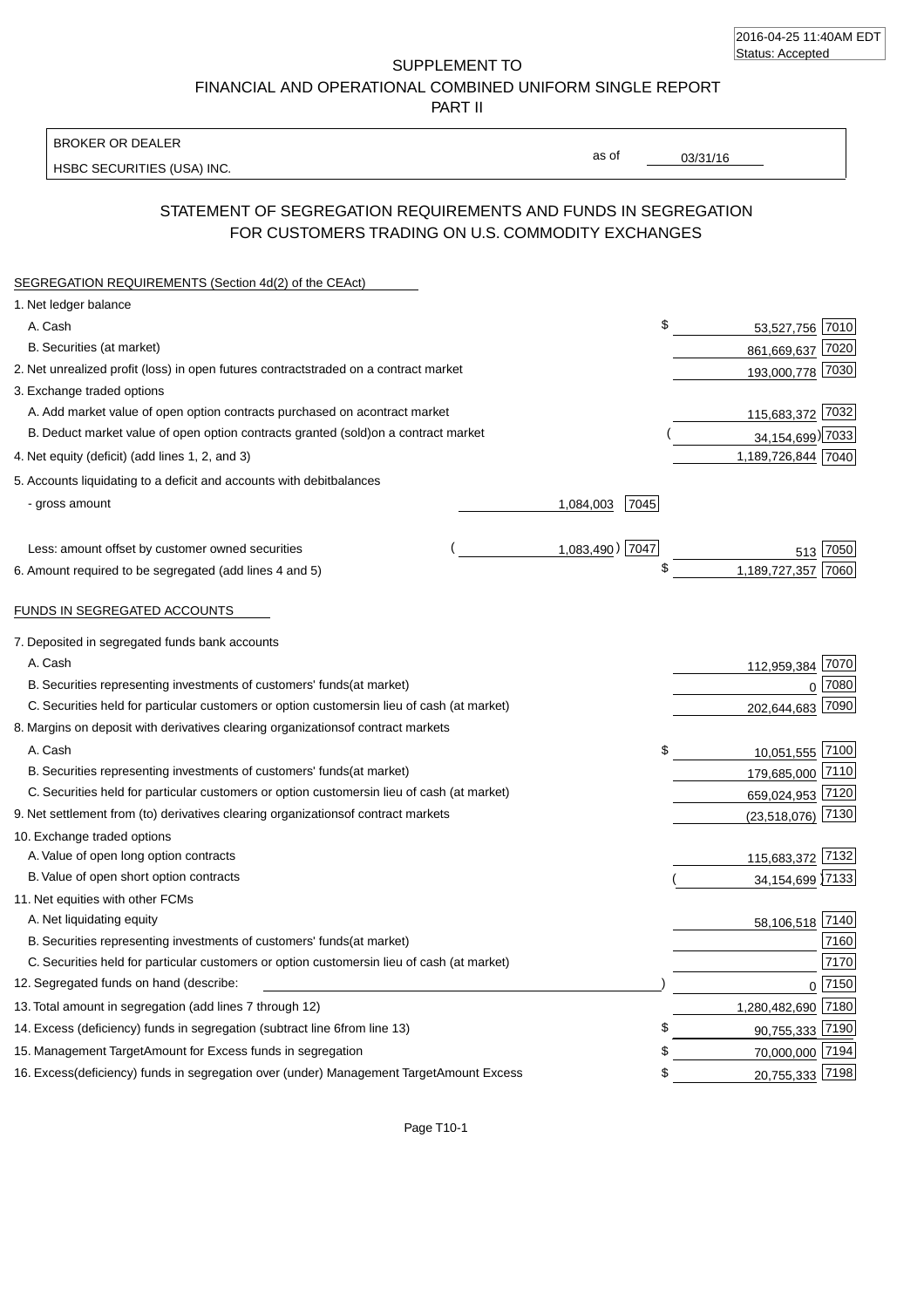| 2016-04-25 11:40AM EDT |  |
|------------------------|--|
| Status: Accepted       |  |

SUPPLEMENT TO FINANCIAL AND OPERATIONAL COMBINED UNIFORM SINGLE REPORT

PART II

### BROKER OR DEALER

HSBC SECURITIES (USA) INC.

03/31/16

as of

# STATEMENT OF SEGREGATION REQUIREMENTS AND FUNDS IN SEGREGATION FOR CUSTOMERS TRADING ON U.S. COMMODITY EXCHANGES

| SEGREGATION REQUIREMENTS (Section 4d(2) of the CEAct)                                          |                   |                     |          |
|------------------------------------------------------------------------------------------------|-------------------|---------------------|----------|
| 1. Net ledger balance                                                                          |                   |                     |          |
| A. Cash                                                                                        | \$                | 53,527,756          | 7010     |
| B. Securities (at market)                                                                      |                   | 861,669,637 7020    |          |
| 2. Net unrealized profit (loss) in open futures contracts<br>traded on a contract market       |                   | 193,000,778 7030    |          |
| 3. Exchange traded options                                                                     |                   |                     |          |
| A. Add market value of open option contracts purchased on a<br>contract market                 |                   | 115,683,372         | 7032     |
| B. Deduct market value of open option contracts granted (sold)<br>on a contract market         |                   | 34,154,699) 7033    |          |
| 4. Net equity (deficit) (add lines 1, 2, and 3)                                                |                   | 1,189,726,844 7040  |          |
| 5. Accounts liquidating to a deficit and accounts with debit<br>balances                       |                   |                     |          |
| - gross amount                                                                                 | 1,084,003<br>7045 |                     |          |
| Less: amount offset by customer owned securities                                               | 1,083,490) 7047   | 513                 | 7050     |
| 6. Amount required to be segregated (add lines 4 and 5)                                        | \$                | 1,189,727,357       | 7060     |
| FUNDS IN SEGREGATED ACCOUNTS                                                                   |                   |                     |          |
| 7. Deposited in segregated funds bank accounts                                                 |                   |                     |          |
| A. Cash                                                                                        |                   | 112,959,384 7070    |          |
| B. Securities representing investments of customers' funds<br>(at market)                      |                   |                     | $0$ 7080 |
| C. Securities held for particular customers or option customers<br>in lieu of cash (at market) |                   | 202,644,683 7090    |          |
| 8. Margins on deposit with derivatives clearing organizations<br>of contract markets           |                   |                     |          |
| A. Cash                                                                                        |                   | 10,051,555 7100     |          |
| B. Securities representing investments of customers' funds<br>(at market)                      |                   | 179,685,000 7110    |          |
| C. Securities held for particular customers or option customers<br>in lieu of cash (at market) |                   | 659,024,953 7120    |          |
| 9. Net settlement from (to) derivatives clearing organizations<br>of contract markets          |                   | $(23,518,076)$ 7130 |          |
| 10. Exchange traded options                                                                    |                   |                     |          |
| A. Value of open long option contracts                                                         |                   | 115,683,372 7132    |          |
| B. Value of open short option contracts                                                        |                   | 34,154,699 7133     |          |
| 11. Net equities with other FCMs                                                               |                   |                     |          |
| A. Net liquidating equity                                                                      |                   | 58,106,518          | 7140     |
| B. Securities representing investments of customers' funds<br>(at market)                      |                   |                     | 7160     |
| C. Securities held for particular customers or option customers<br>in lieu of cash (at market) |                   |                     | 7170     |
| 12. Segregated funds on hand (describe:                                                        |                   |                     | 0 7150   |
| 13. Total amount in segregation (add lines 7 through 12)                                       |                   | 1,280,482,690 7180  |          |
| 14. Excess (deficiency) funds in segregation (subtract line 6 from line 13)                    | \$                | 90,755,333 7190     |          |
| 15. Management Target Amount for Excess funds in segregation                                   | \$                | 70,000,000 7194     |          |
| 16. Excess (deficiency) funds in segregation over (under) Management Target Amount Excess      | \$                | 20,755,333 7198     |          |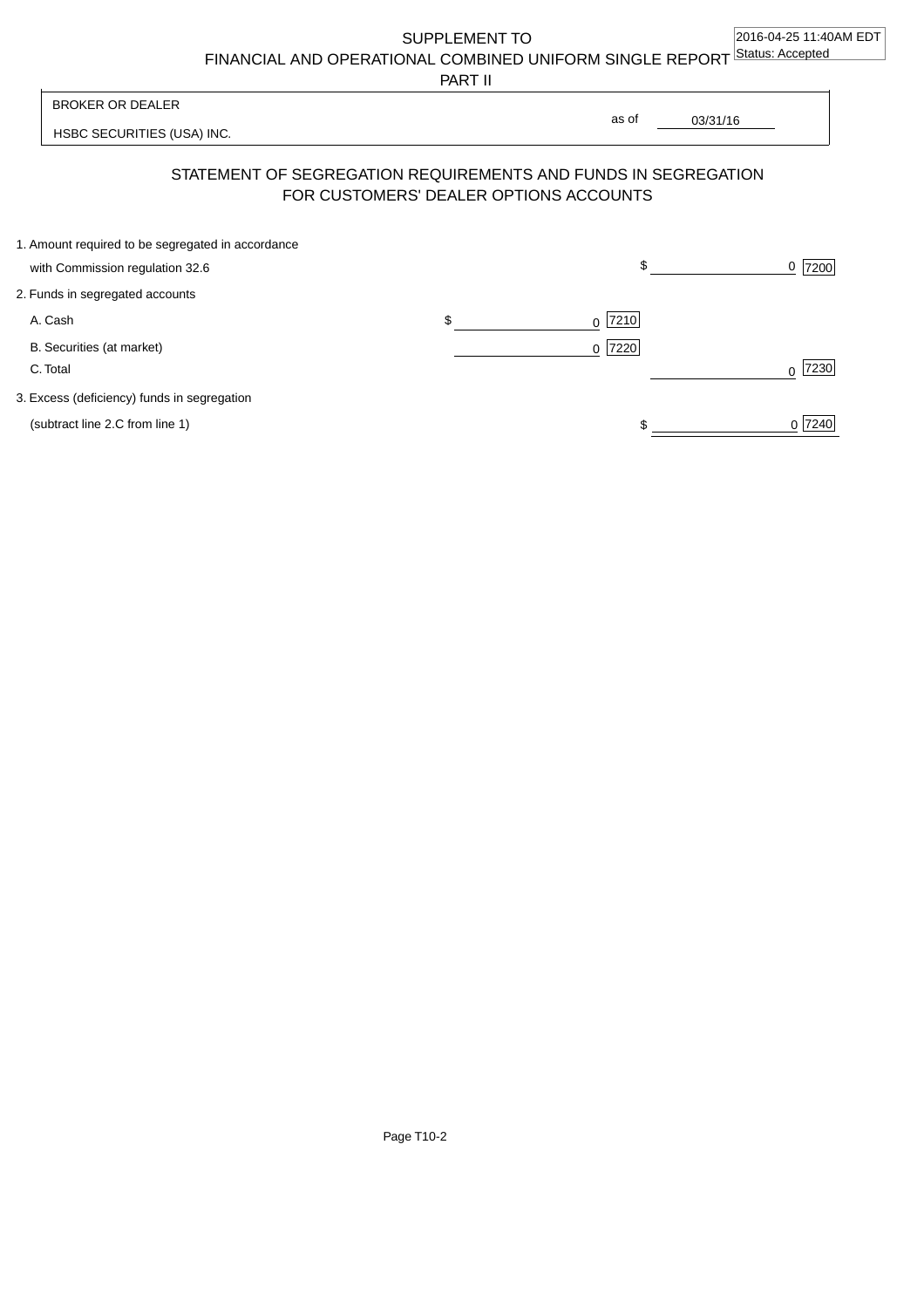SUPPLEMENT TO

FINANCIAL AND OPERATIONAL COMBINED UNIFORM SINGLE REPORT Status: Accepted

PART II

| BROKER OR DEALER                                                                                         | as of | 03/31/16 |  |
|----------------------------------------------------------------------------------------------------------|-------|----------|--|
| HSBC SECURITIES (USA) INC.                                                                               |       |          |  |
| STATEMENT OF SEGREGATION REQUIREMENTS AND FUNDS IN SEGREGATION<br>FOR CUSTOMERS' DEALER OPTIONS ACCOUNTS |       |          |  |

| 1. Amount required to be segregated in accordance |                 |        |
|---------------------------------------------------|-----------------|--------|
| with Commission regulation 32.6                   | \$              | 7200   |
| 2. Funds in segregated accounts                   |                 |        |
| A. Cash                                           | \$<br>$0$  7210 |        |
| B. Securities (at market)                         | $0$  7220       |        |
| C. Total                                          |                 | 7230   |
| 3. Excess (deficiency) funds in segregation       |                 |        |
| (subtract line 2.C from line 1)                   |                 | 0 7240 |
|                                                   |                 |        |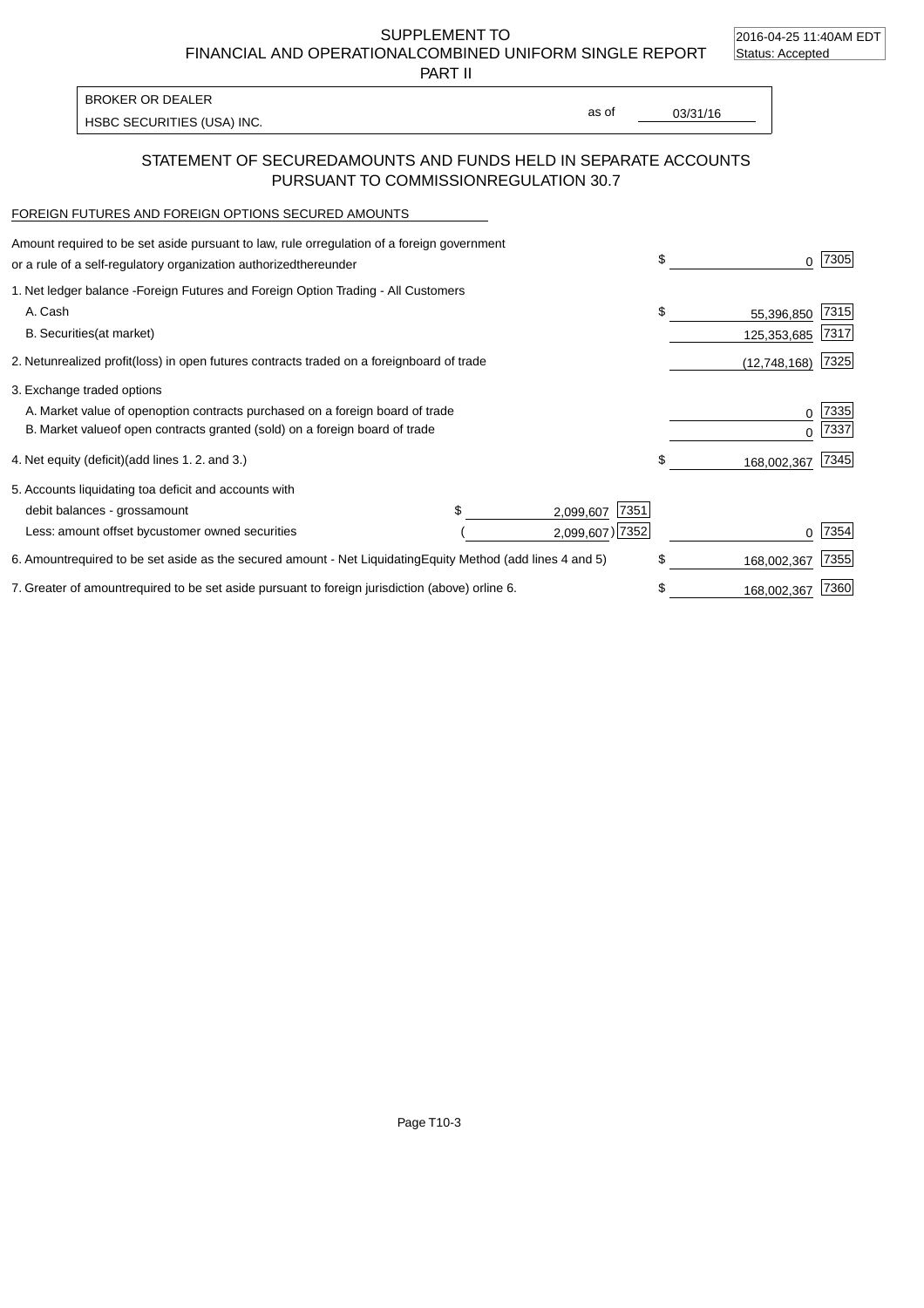2016-04-25 11:40AM EDT

SUPPLEMENT TO FINANCIAL AND OPERATIONAL COMBINED UNIFORM SINGLE REPORT Status: Accepted

PART II

| <b>BROKER OR DEALER</b>    |       |          |
|----------------------------|-------|----------|
| HSBC SECURITIES (USA) INC. | as of | 03/31/16 |

## STATEMENT OF SECURED AMOUNTS AND FUNDS HELD IN SEPARATE ACCOUNTS PURSUANT TO COMMISSION REGULATION 30.7

### FOREIGN FUTURES AND FOREIGN OPTIONS SECURED AMOUNTS

| Amount required to be set aside pursuant to law, rule or regulation of a foreign government<br>or a rule of a self-regulatory organization authorized<br>thereunder                          |                |                                      | \$<br>O.                        | 7305         |
|----------------------------------------------------------------------------------------------------------------------------------------------------------------------------------------------|----------------|--------------------------------------|---------------------------------|--------------|
| 1. Net ledger balance - Foreign Futures and Foreign Option Trading - All Customers<br>A. Cash<br><b>B.</b> Securities<br>(at market)                                                         |                |                                      | \$<br>55,396,850<br>125,353,685 | 7315<br>7317 |
| 2. Net unrealized profit (loss) in open futures contracts traded on a foreign                                                                                                                | board of trade |                                      | (12,748,168)                    | 7325         |
| 3. Exchange traded options<br>A. Market value of open option contracts purchased on a foreign board of trade<br>B. Market value of open contracts granted (sold) on a foreign board of trade |                |                                      | 0<br><sup>0</sup>               | 7335<br>7337 |
| 4. Net equity (deficit) (add lines 1.2. and 3.)                                                                                                                                              |                |                                      | \$<br>168,002,367               | 7345         |
| 5. Accounts liquidating to a deficit and accounts with<br>debit balances - gross<br>amount<br>Less: amount offset by customer owned securities                                               |                | 7351<br>2,099,607<br>2,099,607) 7352 |                                 | 7354         |
| 6. Amount required to be set aside as the secured amount - Net Liquidating                                                                                                                   |                | Equity Method (add lines 4 and 5)    | \$<br>168,002,367               | 7355         |
| 7. Greater of amount required to be set aside pursuant to foreign jurisdiction (above) or                                                                                                    | line 6.        |                                      | \$<br>168,002,367               | 7360         |

Page T10-3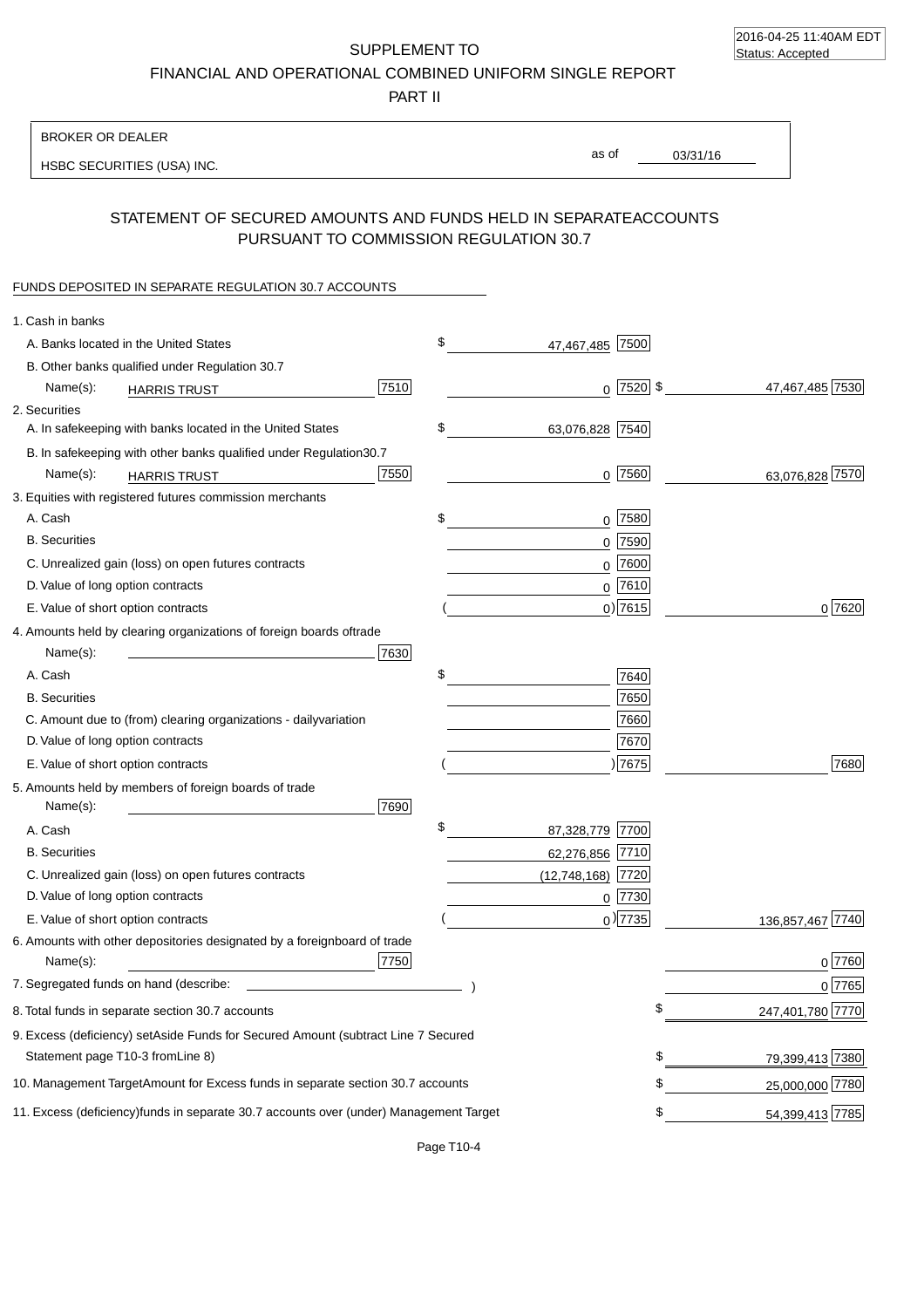2016-04-25 11:40AM EDT Status: Accepted

SUPPLEMENT TO FINANCIAL AND OPERATIONAL COMBINED UNIFORM SINGLE REPORT

PART II

| <b>BROKER OR DEALER</b>                                                                          |                       |                                |
|--------------------------------------------------------------------------------------------------|-----------------------|--------------------------------|
| HSBC SECURITIES (USA) INC.                                                                       | as of                 | 03/31/16                       |
| STATEMENT OF SECURED AMOUNTS AND FUNDS HELD IN SEPARATE                                          |                       | <b>ACCOUNTS</b>                |
| PURSUANT TO COMMISSION REGULATION 30.7                                                           |                       |                                |
| FUNDS DEPOSITED IN SEPARATE REGULATION 30.7 ACCOUNTS                                             |                       |                                |
| 1. Cash in banks                                                                                 |                       |                                |
| A. Banks located in the United States                                                            | \$<br>47,467,485 7500 |                                |
| B. Other banks qualified under Regulation 30.7                                                   |                       |                                |
| 7510<br>Name(s):<br><b>HARRIS TRUST</b>                                                          |                       | $0$ 7520 \$<br>47,467,485 7530 |
| 2. Securities                                                                                    |                       |                                |
| A. In safekeeping with banks located in the United States                                        | \$<br>63,076,828 7540 |                                |
| 30.7<br>B. In safekeeping with other banks qualified under Regulation                            |                       |                                |
| 7550<br>Name(s):<br><b>HARRIS TRUST</b>                                                          | 7560<br>0             | 63,076,828 7570                |
| 3. Equities with registered futures commission merchants                                         |                       |                                |
| A. Cash                                                                                          | $0$ 7580<br>\$        |                                |
| <b>B.</b> Securities                                                                             | 7590<br>$\mathbf 0$   |                                |
| C. Unrealized gain (loss) on open futures contracts                                              | 7600<br>$\Omega$      |                                |
| D. Value of long option contracts                                                                | $0$ 7610              |                                |
| E. Value of short option contracts                                                               | $0)$ 7615             | 0 7620                         |
| 4. Amounts held by clearing organizations of foreign boards of<br>trade                          |                       |                                |
| Name(s):<br>7630                                                                                 |                       |                                |
| A. Cash                                                                                          | \$<br>7640            |                                |
| <b>B.</b> Securities                                                                             | 7650                  |                                |
| C. Amount due to (from) clearing organizations - daily<br>variation                              | 7660                  |                                |
| D. Value of long option contracts                                                                | 7670                  |                                |
| E. Value of short option contracts                                                               | 7675                  | 7680                           |
| 5. Amounts held by members of foreign boards of trade<br>Name(s):<br>7690                        |                       |                                |
| A. Cash                                                                                          | \$<br>87,328,779 7700 |                                |
| <b>B.</b> Securities                                                                             | 62,276,856 7710       |                                |
| C. Unrealized gain (loss) on open futures contracts                                              | $(12,748,168)$ 7720   |                                |
| D. Value of long option contracts                                                                | $0$ 7730              |                                |
| E. Value of short option contracts                                                               | $_0)$ 7735            | 136,857,467 7740               |
| 6. Amounts with other depositories designated by a foreign<br>board of trade<br>7750<br>Name(s): |                       | $0^{7760}$                     |
| 7. Segregated funds on hand (describe:                                                           |                       | 0 7765                         |
| 8. Total funds in separate section 30.7 accounts                                                 |                       | 247,401,780 7770               |
| 9. Excess (deficiency) set Aside Funds for Secured Amount (subtract Line 7 Secured               |                       |                                |
| Statement page T10-3 from Line 8)                                                                |                       | \$<br>79,399,413 7380          |
| 10. Management Target Amount for Excess funds in separate section 30.7 accounts                  |                       | \$<br>25,000,000 7780          |
| 11. Excess (deficiency) funds in separate 30.7 accounts over (under) Management Target           |                       | \$<br>54,399,413 7785          |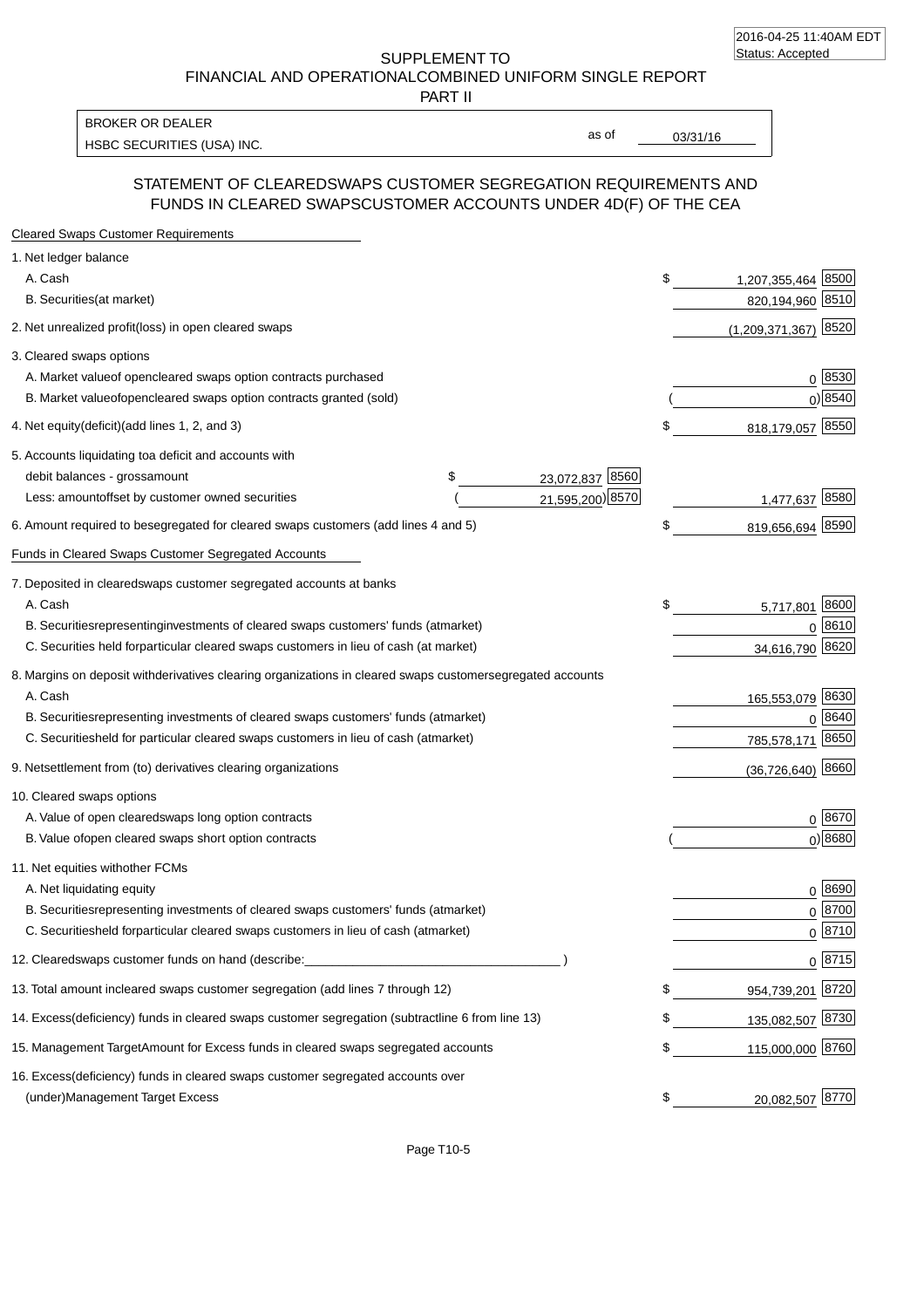SUPPLEMENT TO FINANCIAL AND OPERATIONAL COMBINED UNIFORM SINGLE REPORT

PART II

HSBC SECURITIES (USA) INC. The state of the second second second second second second second second second second second second second second second second second second second second second second second second second sec BROKER OR DEALER

as of

## STATEMENT OF CLEARED SWAPS CUSTOMER SEGREGATION REQUIREMENTS AND FUNDS IN CLEARED SWAPS CUSTOMER ACCOUNTS UNDER 4D(F) OF THE CEA

| <b>Cleared Swaps Customer Requirements</b>                                                                  |                          |
|-------------------------------------------------------------------------------------------------------------|--------------------------|
| 1. Net ledger balance                                                                                       |                          |
| A. Cash                                                                                                     | \$<br>1,207,355,464 8500 |
| B. Securities (at market)                                                                                   | 820,194,960 8510         |
| 2. Net unrealized profit (loss) in open cleared swaps                                                       | 8520<br>(1,209,371,367)  |
| 3. Cleared swaps options                                                                                    |                          |
| A. Market value of open cleared swaps option contracts purchased                                            | 0   8530                 |
| B. Market value of open cleared swaps option contracts granted (sold)                                       | $0)$ 8540                |
| 4. Net equity (deficit) (add lines 1, 2, and 3)                                                             | \$<br>818,179,057 8550   |
| 5. Accounts liquidating to a deficit and accounts with                                                      |                          |
| 23,072,837 8560<br>debit balances - gross amount<br>\$                                                      |                          |
| 21,595,200) 8570<br>Less: amount offset by customer owned securities                                        | 1,477,637 8580           |
| 6. Amount required to be segregated for cleared swaps customers (add lines 4 and 5)                         | \$<br>819,656,694 8590   |
| Funds in Cleared Swaps Customer Segregated Accounts                                                         |                          |
| 7. Deposited in cleared swaps customer segregated accounts at banks                                         |                          |
| A. Cash                                                                                                     | \$<br>8600<br>5,717,801  |
| B. Securities representing investments of cleared swaps customers' funds (at market)                        | 0 8610                   |
| C. Securities held for particular cleared swaps customers in lieu of cash (at market)                       | 34,616,790 8620          |
| 8. Margins on deposit with derivatives clearing organizations in cleared swaps customer segregated accounts |                          |
| A. Cash                                                                                                     | 165,553,079 8630         |
| B. Securities representing investments of cleared swaps customers' funds (at market)                        | 8640<br>0                |
| C. Securities<br>held for particular cleared swaps customers in lieu of cash (at market)                    | 8650<br>785,578,171      |
| 9. Net settlement from (to) derivatives clearing organizations                                              | $(36, 726, 640)$ 8660    |
| 10. Cleared swaps options                                                                                   |                          |
| A. Value of open cleared swaps long option contracts                                                        | $0^{8670}$               |
| B. Value of open cleared swaps short option contracts                                                       | $0$ ) 8680               |
| 11. Net equities with other FCMs                                                                            |                          |
| A. Net liquidating equity                                                                                   | $0^{8690}$               |
| B. Securities representing investments of cleared swaps customers' funds (at market)                        | $0 \frac{8700}{ }$       |
| C. Securities held for particular cleared swaps customers in lieu of cash (at market)                       | 0 8710                   |
| 12. Cleared swaps customer funds on hand (describe:                                                         | $0 \;  8715 $            |
| 13. Total amount in cleared swaps customer segregation (add lines 7 through 12)                             | \$<br>954,739,201 8720   |
| 14. Excess (deficiency) funds in cleared swaps customer segregation (subtract line 6 from line 13)          | 135,082,507 8730         |
| 15. Management Target Amount for Excess funds in cleared swaps segregated accounts                          | \$<br>115,000,000 8760   |
| 16. Excess<br>(deficiency) funds in cleared swaps customer segregated accounts over                         |                          |
| <b>Management Target Excess</b><br>(under)                                                                  | \$<br>20,082,507 8770    |